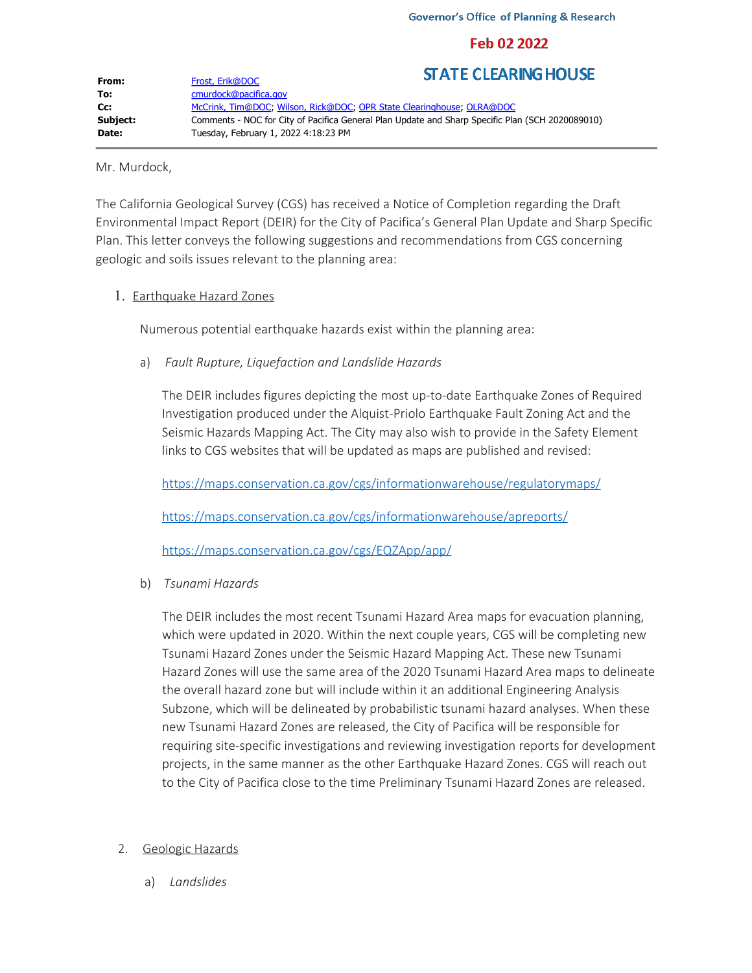## Feb 02 2022

| From:    | Frost, Erik@DOC                                                                                  | <b>STATE CLEARING HOUSE</b> |
|----------|--------------------------------------------------------------------------------------------------|-----------------------------|
|          |                                                                                                  |                             |
| To:      | cmurdock@pacifica.gov                                                                            |                             |
| Cc:      | McCrink, Tim@DOC, Wilson, Rick@DOC, OPR State Clearinghouse, OLRA@DOC                            |                             |
| Subject: | Comments - NOC for City of Pacifica General Plan Update and Sharp Specific Plan (SCH 2020089010) |                             |
| Date:    | Tuesday, February 1, 2022 4:18:23 PM                                                             |                             |

Mr. Murdock,

The California Geological Survey (CGS) has received a Notice of Completion regarding the Draft Environmental Impact Report (DEIR) for the City of Pacifica's General Plan Update and Sharp Specific Plan. This letter conveys the following suggestions and recommendations from CGS concerning geologic and soils issues relevant to the planning area:

## 1. Earthquake Hazard Zones

Numerous potential earthquake hazards exist within the planning area:

a) *Fault Rupture, Liquefaction and Landslide Hazards*

The DEIR includes figures depicting the most up-to-date Earthquake Zones of Required Investigation produced under the Alquist-Priolo Earthquake Fault Zoning Act and the Seismic Hazards Mapping Act. The City may also wish to provide in the Safety Element links to CGS websites that will be updated as maps are published and revised:

<https://maps.conservation.ca.gov/cgs/informationwarehouse/regulatorymaps/>

<https://maps.conservation.ca.gov/cgs/informationwarehouse/apreports/>

[https://maps.conservation.ca.gov/cgs/EQZApp/app/](https://gcc02.safelinks.protection.outlook.com/?url=https%3A%2F%2Fmaps.conservation.ca.gov%2Fcgs%2FEQZApp%2Fapp%2F&data=04%7C01%7CRick.Wilson%40conservation.ca.gov%7Cd9515e1e476840295c3c08d9e0f5fb07%7C4c5988ae5a0040e8b065a017f9c99494%7C0%7C0%7C637788169348478320%7CUnknown%7CTWFpbGZsb3d8eyJWIjoiMC4wLjAwMDAiLCJQIjoiV2luMzIiLCJBTiI6Ik1haWwiLCJXVCI6Mn0%3D%7C3000&sdata=KGaJ849d%2BUqUWoePiULcG9ODjAEmGD3rsWbrARtmYIE%3D&reserved=0)

b) *Tsunami Hazards*

The DEIR includes the most recent Tsunami Hazard Area maps for evacuation planning, which were updated in 2020. Within the next couple years, CGS will be completing new Tsunami Hazard Zones under the Seismic Hazard Mapping Act. These new Tsunami Hazard Zones will use the same area of the 2020 Tsunami Hazard Area maps to delineate the overall hazard zone but will include within it an additional Engineering Analysis Subzone, which will be delineated by probabilistic tsunami hazard analyses. When these new Tsunami Hazard Zones are released, the City of Pacifica will be responsible for requiring site-specific investigations and reviewing investigation reports for development projects, in the same manner as the other Earthquake Hazard Zones. CGS will reach out to the City of Pacifica close to the time Preliminary Tsunami Hazard Zones are released.

## 2. Geologic Hazards

a) *Landslides*